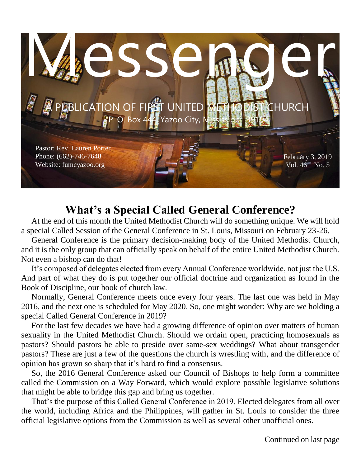

# **What's a Special Called General Conference?**

 At the end of this month the United Methodist Church will do something unique. We will hold a special Called Session of the General Conference in St. Louis, Missouri on February 23-26.

 General Conference is the primary decision-making body of the United Methodist Church, and it is the only group that can officially speak on behalf of the entire United Methodist Church. Not even a bishop can do that!

 It's composed of delegates elected from every Annual Conference worldwide, not just the U.S. And part of what they do is put together our official doctrine and organization as found in the Book of Discipline, our book of church law.

 Normally, General Conference meets once every four years. The last one was held in May 2016, and the next one is scheduled for May 2020. So, one might wonder: Why are we holding a special Called General Conference in 2019?

 For the last few decades we have had a growing difference of opinion over matters of human sexuality in the United Methodist Church. Should we ordain open, practicing homosexuals as pastors? Should pastors be able to preside over same-sex weddings? What about transgender pastors? These are just a few of the questions the church is wrestling with, and the difference of opinion has grown so sharp that it's hard to find a consensus.

 So, the 2016 General Conference asked our Council of Bishops to help form a committee called the Commission on a Way Forward, which would explore possible legislative solutions that might be able to bridge this gap and bring us together.

 That's the purpose of this Called General Conference in 2019. Elected delegates from all over the world, including Africa and the Philippines, will gather in St. Louis to consider the three official legislative options from the Commission as well as several other unofficial ones.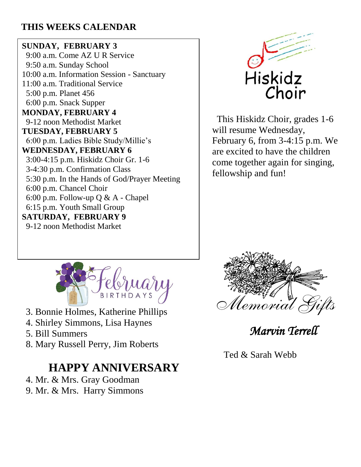# **THIS WEEKS CALENDAR**

### **SUNDAY, FEBRUARY 3**

 9:00 a.m. Come AZ U R Service 9:50 a.m. Sunday School 10:00 a.m. Information Session - Sanctuary 11:00 a.m. Traditional Service 5:00 p.m. Planet 456 6:00 p.m. Snack Supper **MONDAY, FEBRUARY 4** 9-12 noon Methodist Market **TUESDAY, FEBRUARY 5** 6:00 p.m. Ladies Bible Study/Millie's **WEDNESDAY, FEBRUARY 6** 3:00-4:15 p.m. Hiskidz Choir Gr. 1-6 3-4:30 p.m. Confirmation Class 5:30 p.m. In the Hands of God/Prayer Meeting 6:00 p.m. Chancel Choir 6:00 p.m. Follow-up Q & A - Chapel 6:15 p.m. Youth Small Group **SATURDAY, FEBRUARY 9** 9-12 noon Methodist Market



 This Hiskidz Choir, grades 1-6 will resume Wednesday, February 6, from 3-4:15 p.m. We are excited to have the children come together again for singing, fellowship and fun!



- 3. Bonnie Holmes, Katherine Phillips
- 4. Shirley Simmons, Lisa Haynes
- 5. Bill Summers
- 8. Mary Russell Perry, Jim Roberts

# **HAPPY ANNIVERSARY**

- 4. Mr. & Mrs. Gray Goodman
- 9. Mr. & Mrs. Harry Simmons



*Marvin Terrell* 

Ted & Sarah Webb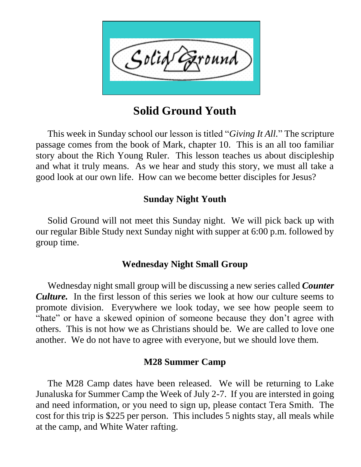

# **Solid Ground Youth**

 This week in Sunday school our lesson is titled "*Giving It All.*" The scripture passage comes from the book of Mark, chapter 10. This is an all too familiar story about the Rich Young Ruler. This lesson teaches us about discipleship and what it truly means. As we hear and study this story, we must all take a good look at our own life. How can we become better disciples for Jesus?

### **Sunday Night Youth**

 Solid Ground will not meet this Sunday night. We will pick back up with our regular Bible Study next Sunday night with supper at 6:00 p.m. followed by group time.

### **Wednesday Night Small Group**

 Wednesday night small group will be discussing a new series called *Counter Culture.* In the first lesson of this series we look at how our culture seems to promote division. Everywhere we look today, we see how people seem to "hate" or have a skewed opinion of someone because they don't agree with others. This is not how we as Christians should be. We are called to love one another. We do not have to agree with everyone, but we should love them.

### **M28 Summer Camp**

 The M28 Camp dates have been released. We will be returning to Lake Junaluska for Summer Camp the Week of July 2-7. If you are intersted in going and need information, or you need to sign up, please contact Tera Smith. The cost for this trip is \$225 per person. This includes 5 nights stay, all meals while at the camp, and White Water rafting.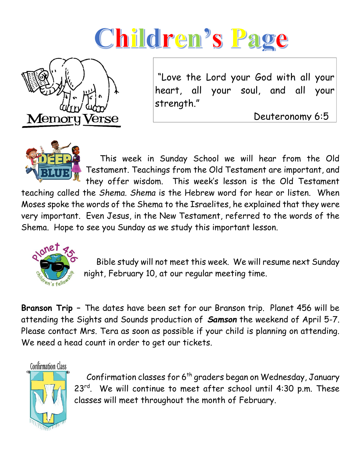# Children's Page



"Love the Lord your God with all your heart, all your soul, and all your strength."

Deuteronomy 6:5



 This week in Sunday School we will hear from the Old Testament. Teachings from the Old Testament are important, and they offer wisdom. This week's lesson is the Old Testament

teaching called the *Shema. Shema* is the Hebrew word for hear or listen. When Moses spoke the words of the Shema to the Israelites, he explained that they were very important. Even Jesus, in the New Testament, referred to the words of the Shema. Hope to see you Sunday as we study this important lesson.



 Bible study will not meet this week. We will resume next Sunday night, February 10, at our regular meeting time.

**Branson Trip –** The dates have been set for our Branson trip. Planet 456 will be attending the Sights and Sounds production of *Samson* the weekend of April 5-7. Please contact Mrs. Tera as soon as possible if your child is planning on attending. We need a head count in order to get our tickets.

Confirmation Class



Confirmation classes for  $6<sup>th</sup>$  graders began on Wednesday, January 23rd. We will continue to meet after school until 4:30 p.m. These classes will meet throughout the month of February.